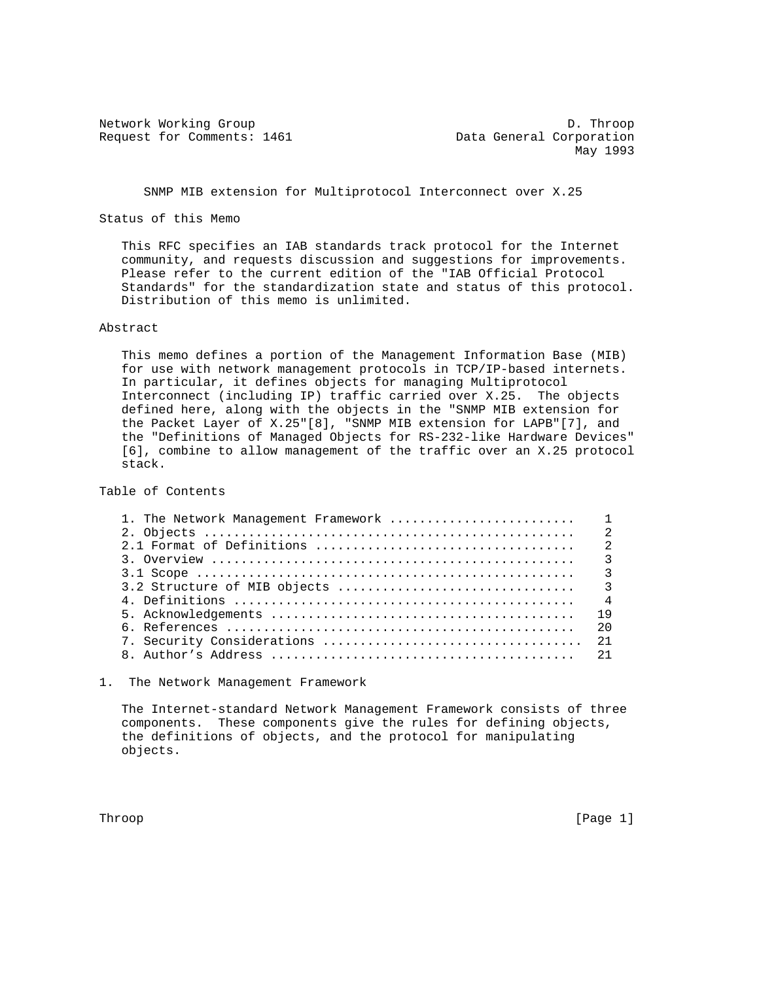Request for Comments: 1461 Data General Corporation

Network Working Group Decree Communications of the D. Throop May 1993

SNMP MIB extension for Multiprotocol Interconnect over X.25

Status of this Memo

 This RFC specifies an IAB standards track protocol for the Internet community, and requests discussion and suggestions for improvements. Please refer to the current edition of the "IAB Official Protocol Standards" for the standardization state and status of this protocol. Distribution of this memo is unlimited.

## Abstract

 This memo defines a portion of the Management Information Base (MIB) for use with network management protocols in TCP/IP-based internets. In particular, it defines objects for managing Multiprotocol Interconnect (including IP) traffic carried over X.25. The objects defined here, along with the objects in the "SNMP MIB extension for the Packet Layer of X.25"[8], "SNMP MIB extension for LAPB"[7], and the "Definitions of Managed Objects for RS-232-like Hardware Devices" [6], combine to allow management of the traffic over an X.25 protocol stack.

Table of Contents

| $\mathcal{R}$  |
|----------------|
| $\mathcal{R}$  |
|                |
| $\overline{4}$ |
| 19             |
| 2.0            |
|                |
|                |

1. The Network Management Framework

 The Internet-standard Network Management Framework consists of three components. These components give the rules for defining objects, the definitions of objects, and the protocol for manipulating objects.

Throop [Page 1] [Page 1] [Page 1] [Page 1] [Page 1] [Page 1]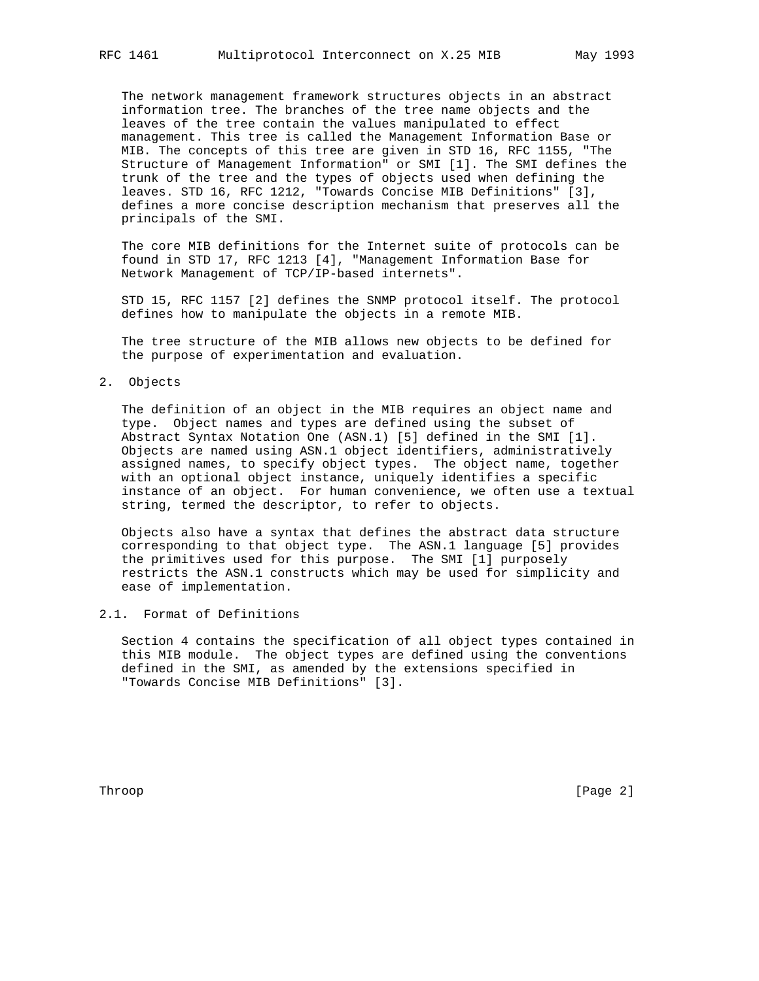The network management framework structures objects in an abstract information tree. The branches of the tree name objects and the leaves of the tree contain the values manipulated to effect management. This tree is called the Management Information Base or MIB. The concepts of this tree are given in STD 16, RFC 1155, "The Structure of Management Information" or SMI [1]. The SMI defines the trunk of the tree and the types of objects used when defining the leaves. STD 16, RFC 1212, "Towards Concise MIB Definitions" [3], defines a more concise description mechanism that preserves all the principals of the SMI.

 The core MIB definitions for the Internet suite of protocols can be found in STD 17, RFC 1213 [4], "Management Information Base for Network Management of TCP/IP-based internets".

 STD 15, RFC 1157 [2] defines the SNMP protocol itself. The protocol defines how to manipulate the objects in a remote MIB.

 The tree structure of the MIB allows new objects to be defined for the purpose of experimentation and evaluation.

2. Objects

 The definition of an object in the MIB requires an object name and type. Object names and types are defined using the subset of Abstract Syntax Notation One (ASN.1) [5] defined in the SMI [1]. Objects are named using ASN.1 object identifiers, administratively assigned names, to specify object types. The object name, together with an optional object instance, uniquely identifies a specific instance of an object. For human convenience, we often use a textual string, termed the descriptor, to refer to objects.

 Objects also have a syntax that defines the abstract data structure corresponding to that object type. The ASN.1 language [5] provides the primitives used for this purpose. The SMI [1] purposely restricts the ASN.1 constructs which may be used for simplicity and ease of implementation.

2.1. Format of Definitions

 Section 4 contains the specification of all object types contained in this MIB module. The object types are defined using the conventions defined in the SMI, as amended by the extensions specified in "Towards Concise MIB Definitions" [3].

Throop [Page 2]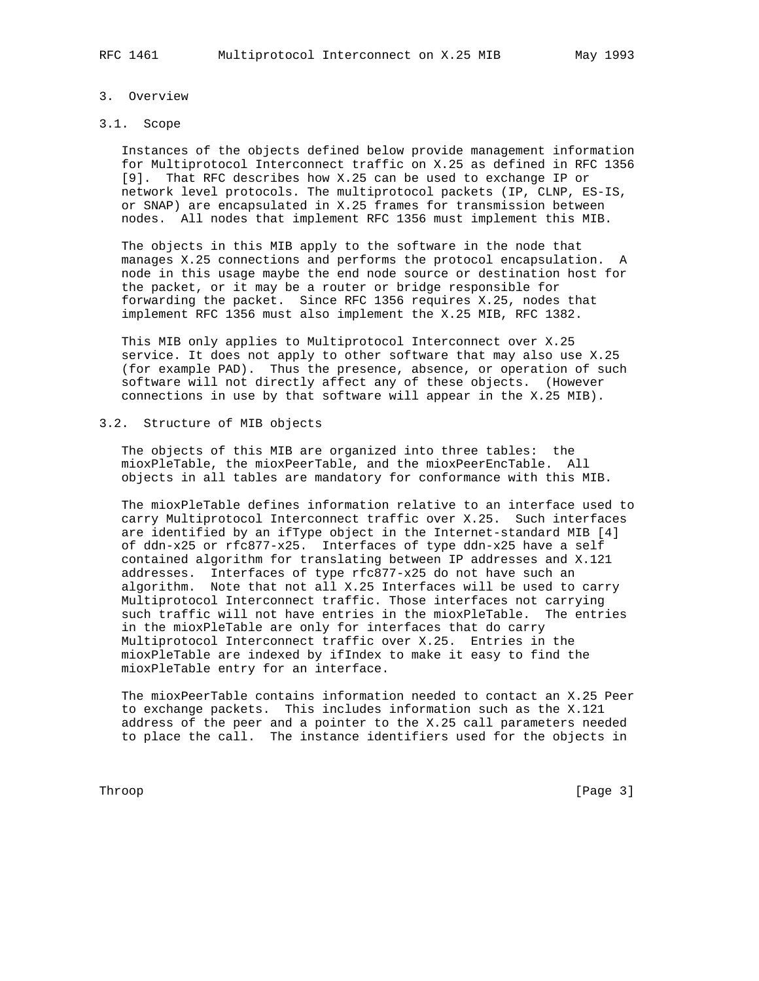### 3. Overview

# 3.1. Scope

 Instances of the objects defined below provide management information for Multiprotocol Interconnect traffic on X.25 as defined in RFC 1356 [9]. That RFC describes how X.25 can be used to exchange IP or network level protocols. The multiprotocol packets (IP, CLNP, ES-IS, or SNAP) are encapsulated in X.25 frames for transmission between nodes. All nodes that implement RFC 1356 must implement this MIB.

 The objects in this MIB apply to the software in the node that manages X.25 connections and performs the protocol encapsulation. A node in this usage maybe the end node source or destination host for the packet, or it may be a router or bridge responsible for forwarding the packet. Since RFC 1356 requires X.25, nodes that implement RFC 1356 must also implement the X.25 MIB, RFC 1382.

 This MIB only applies to Multiprotocol Interconnect over X.25 service. It does not apply to other software that may also use X.25 (for example PAD). Thus the presence, absence, or operation of such software will not directly affect any of these objects. (However connections in use by that software will appear in the X.25 MIB).

## 3.2. Structure of MIB objects

 The objects of this MIB are organized into three tables: the mioxPleTable, the mioxPeerTable, and the mioxPeerEncTable. All objects in all tables are mandatory for conformance with this MIB.

 The mioxPleTable defines information relative to an interface used to carry Multiprotocol Interconnect traffic over X.25. Such interfaces are identified by an ifType object in the Internet-standard MIB [4] of ddn-x25 or rfc877-x25. Interfaces of type ddn-x25 have a self contained algorithm for translating between IP addresses and X.121 addresses. Interfaces of type rfc877-x25 do not have such an algorithm. Note that not all X.25 Interfaces will be used to carry Multiprotocol Interconnect traffic. Those interfaces not carrying such traffic will not have entries in the mioxPleTable. The entries in the mioxPleTable are only for interfaces that do carry Multiprotocol Interconnect traffic over X.25. Entries in the mioxPleTable are indexed by ifIndex to make it easy to find the mioxPleTable entry for an interface.

 The mioxPeerTable contains information needed to contact an X.25 Peer to exchange packets. This includes information such as the X.121 address of the peer and a pointer to the X.25 call parameters needed to place the call. The instance identifiers used for the objects in

Throop [Page 3]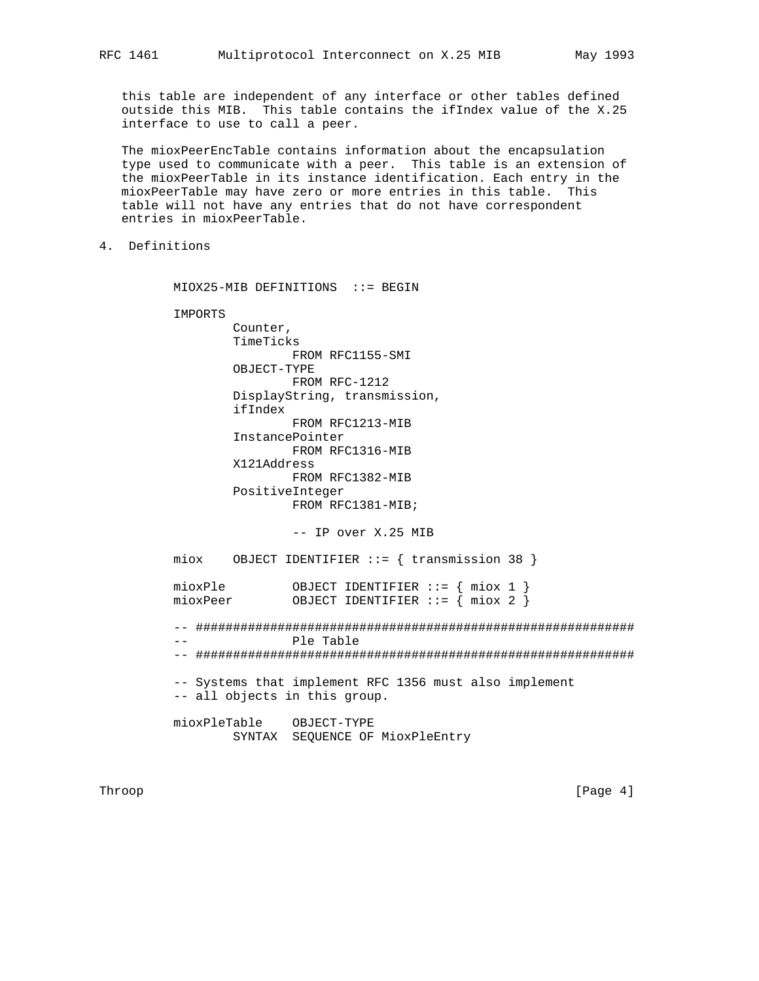this table are independent of any interface or other tables defined outside this MIB. This table contains the ifIndex value of the X.25 interface to use to call a peer.

 The mioxPeerEncTable contains information about the encapsulation type used to communicate with a peer. This table is an extension of the mioxPeerTable in its instance identification. Each entry in the mioxPeerTable may have zero or more entries in this table. This table will not have any entries that do not have correspondent entries in mioxPeerTable.

4. Definitions

MIOX25-MIB DEFINITIONS ::= BEGIN

 IMPORTS Counter, TimeTicks FROM RFC1155-SMI OBJECT-TYPE FROM RFC-1212 DisplayString, transmission, ifIndex FROM RFC1213-MIB InstancePointer FROM RFC1316-MIB X121Address FROM RFC1382-MIB PositiveInteger FROM RFC1381-MIB;

-- IP over X.25 MIB

 miox OBJECT IDENTIFIER ::= { transmission 38 } mioxPle OBJECT IDENTIFIER ::= { miox 1 } mioxPeer 0BJECT IDENTIFIER ::= { miox 2 }

 -- ########################################################### -- Ple Table -- ###########################################################

 -- Systems that implement RFC 1356 must also implement -- all objects in this group.

 mioxPleTable OBJECT-TYPE SYNTAX SEQUENCE OF MioxPleEntry

Throop [Page 4] [Page 4] [Page 4] [Page 4] [Page 4] [Page 4] [Page 4] [Page 4] [Page 4] [Page 4] [Page 4] [Page 4] [Page 4] [Page 4] [Page 4] [Page 4] [Page 4] [Page 4] [Page 4] [Page 4] [Page 4] [Page 4] [Page 4] [Page 4]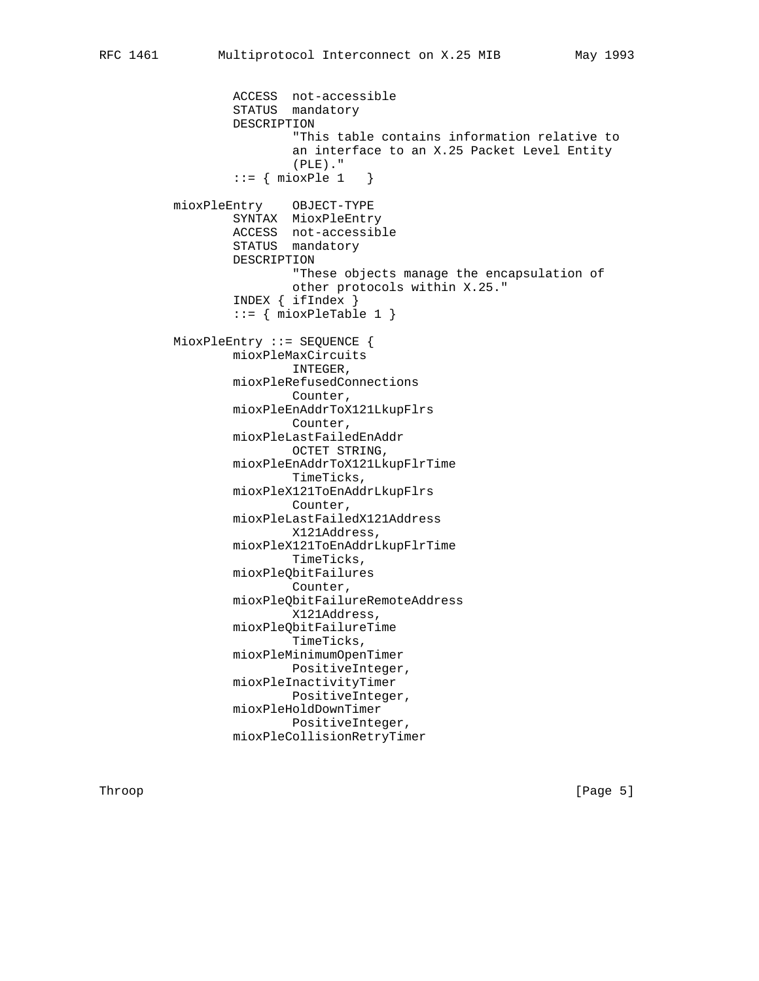ACCESS not-accessible STATUS mandatory DESCRIPTION "This table contains information relative to an interface to an X.25 Packet Level Entity (PLE)."  $::=$  { mioxPle 1 } mioxPleEntry OBJECT-TYPE SYNTAX MioxPleEntry ACCESS not-accessible STATUS mandatory DESCRIPTION "These objects manage the encapsulation of other protocols within X.25." INDEX { ifIndex }  $::=$  { mioxPleTable 1 } MioxPleEntry ::= SEQUENCE { mioxPleMaxCircuits INTEGER, mioxPleRefusedConnections Counter, mioxPleEnAddrToX121LkupFlrs Counter, mioxPleLastFailedEnAddr OCTET STRING, mioxPleEnAddrToX121LkupFlrTime TimeTicks, mioxPleX121ToEnAddrLkupFlrs Counter, mioxPleLastFailedX121Address X121Address, mioxPleX121ToEnAddrLkupFlrTime TimeTicks, mioxPleQbitFailures Counter, mioxPleQbitFailureRemoteAddress X121Address, mioxPleQbitFailureTime TimeTicks, mioxPleMinimumOpenTimer PositiveInteger, mioxPleInactivityTimer PositiveInteger, mioxPleHoldDownTimer PositiveInteger, mioxPleCollisionRetryTimer

Throop [Page 5]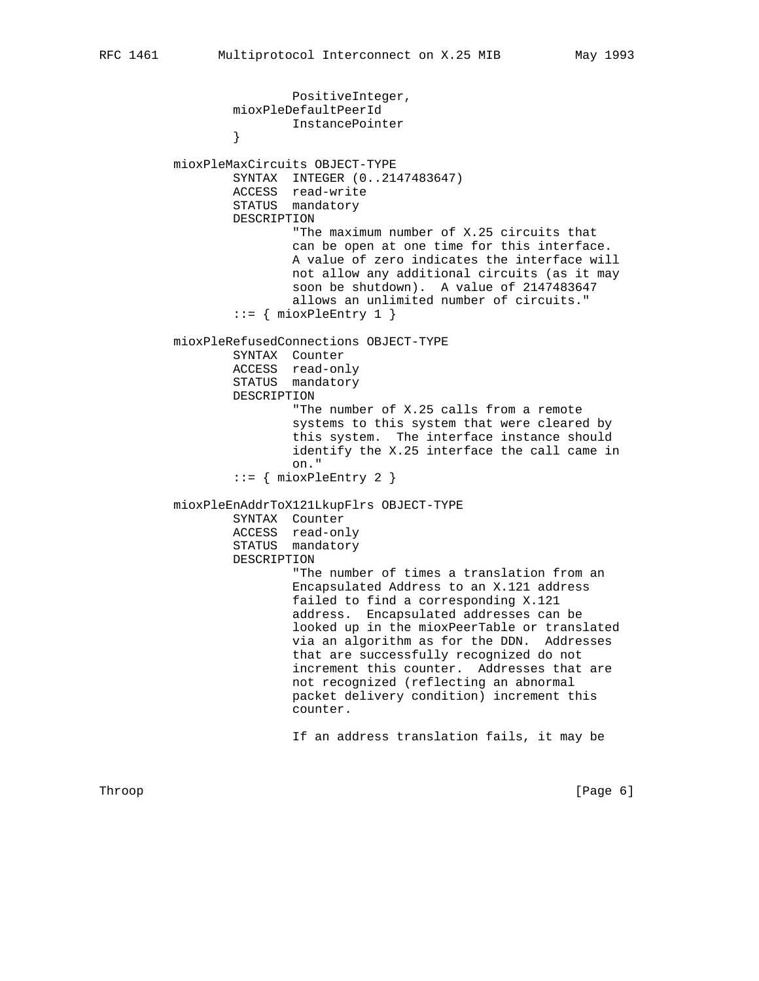PositiveInteger, mioxPleDefaultPeerId InstancePointer } mioxPleMaxCircuits OBJECT-TYPE SYNTAX INTEGER (0..2147483647) ACCESS read-write STATUS mandatory DESCRIPTION "The maximum number of X.25 circuits that can be open at one time for this interface. A value of zero indicates the interface will not allow any additional circuits (as it may soon be shutdown). A value of 2147483647 allows an unlimited number of circuits."  $::=$  { mioxPleEntry 1 } mioxPleRefusedConnections OBJECT-TYPE SYNTAX Counter ACCESS read-only STATUS mandatory DESCRIPTION "The number of X.25 calls from a remote systems to this system that were cleared by this system. The interface instance should identify the X.25 interface the call came in on." ::= { mioxPleEntry 2 } mioxPleEnAddrToX121LkupFlrs OBJECT-TYPE SYNTAX Counter ACCESS read-only STATUS mandatory DESCRIPTION "The number of times a translation from an Encapsulated Address to an X.121 address failed to find a corresponding X.121 address. Encapsulated addresses can be looked up in the mioxPeerTable or translated via an algorithm as for the DDN. Addresses that are successfully recognized do not increment this counter. Addresses that are not recognized (reflecting an abnormal packet delivery condition) increment this counter. If an address translation fails, it may be

Throop [Page 6] [Page 6] [Page 6] [Page 6] [Page 6] [Page 6] [Page 6] [Page 6] [Page 6] [Page 6] [Page 6] [Page 6] [Page 6] [Page 6] [Page 6] [Page 6] [Page 6] [Page 6] [Page 6] [Page 6] [Page 6] [Page 6] [Page 6] [Page 6]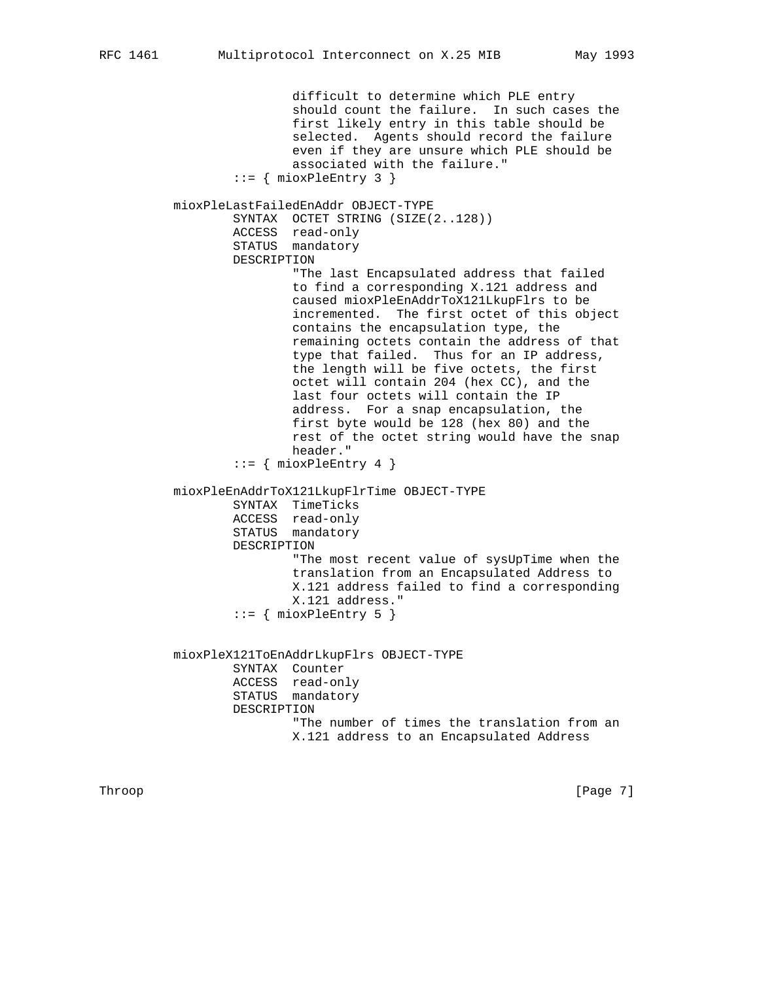difficult to determine which PLE entry should count the failure. In such cases the first likely entry in this table should be selected. Agents should record the failure even if they are unsure which PLE should be associated with the failure."  $::=$  { mioxPleEntry 3 } mioxPleLastFailedEnAddr OBJECT-TYPE SYNTAX OCTET STRING (SIZE(2..128)) ACCESS read-only STATUS mandatory DESCRIPTION "The last Encapsulated address that failed to find a corresponding X.121 address and caused mioxPleEnAddrToX121LkupFlrs to be incremented. The first octet of this object contains the encapsulation type, the remaining octets contain the address of that type that failed. Thus for an IP address, the length will be five octets, the first octet will contain 204 (hex CC), and the last four octets will contain the IP address. For a snap encapsulation, the first byte would be 128 (hex 80) and the rest of the octet string would have the snap header."  $::=$  { mioxPleEntry 4 } mioxPleEnAddrToX121LkupFlrTime OBJECT-TYPE SYNTAX TimeTicks ACCESS read-only STATUS mandatory DESCRIPTION "The most recent value of sysUpTime when the translation from an Encapsulated Address to X.121 address failed to find a corresponding X.121 address."  $::=$  { mioxPleEntry 5 } mioxPleX121ToEnAddrLkupFlrs OBJECT-TYPE SYNTAX Counter ACCESS read-only STATUS mandatory DESCRIPTION "The number of times the translation from an X.121 address to an Encapsulated Address

Throop [Page 7] [Page 7] [Page 7] [Page 7] [Page 7] [Page 7] [Page 7] [Page 7] [Page 7] [Page 7] [Page 7] [Page 7] [Page 7] [Page 7] [Page 7] [Page 7] [Page 7] [Page 7] [Page 7] [Page 7] [Page 7] [Page 7] [Page 7] [Page 7]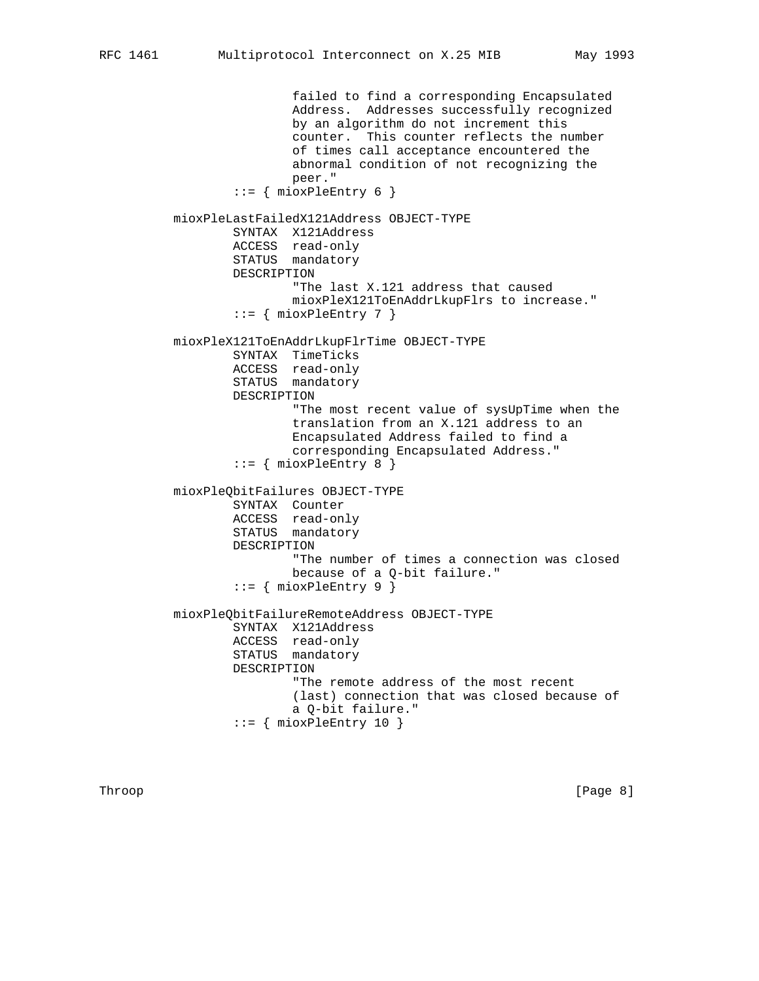Address. Addresses successfully recognized by an algorithm do not increment this counter. This counter reflects the number of times call acceptance encountered the abnormal condition of not recognizing the peer." ::= { mioxPleEntry 6 } mioxPleLastFailedX121Address OBJECT-TYPE SYNTAX X121Address ACCESS read-only STATUS mandatory DESCRIPTION "The last X.121 address that caused mioxPleX121ToEnAddrLkupFlrs to increase."  $::=$  { mioxPleEntry 7 } mioxPleX121ToEnAddrLkupFlrTime OBJECT-TYPE SYNTAX TimeTicks ACCESS read-only STATUS mandatory DESCRIPTION "The most recent value of sysUpTime when the translation from an X.121 address to an Encapsulated Address failed to find a corresponding Encapsulated Address."  $::=$  { mioxPleEntry 8 } mioxPleQbitFailures OBJECT-TYPE SYNTAX Counter ACCESS read-only STATUS mandatory DESCRIPTION "The number of times a connection was closed because of a Q-bit failure." ::= { mioxPleEntry 9 } mioxPleQbitFailureRemoteAddress OBJECT-TYPE SYNTAX X121Address ACCESS read-only STATUS mandatory DESCRIPTION "The remote address of the most recent (last) connection that was closed because of a Q-bit failure."

 $::=$  { mioxPleEntry 10 }

failed to find a corresponding Encapsulated

Throop [Page 8]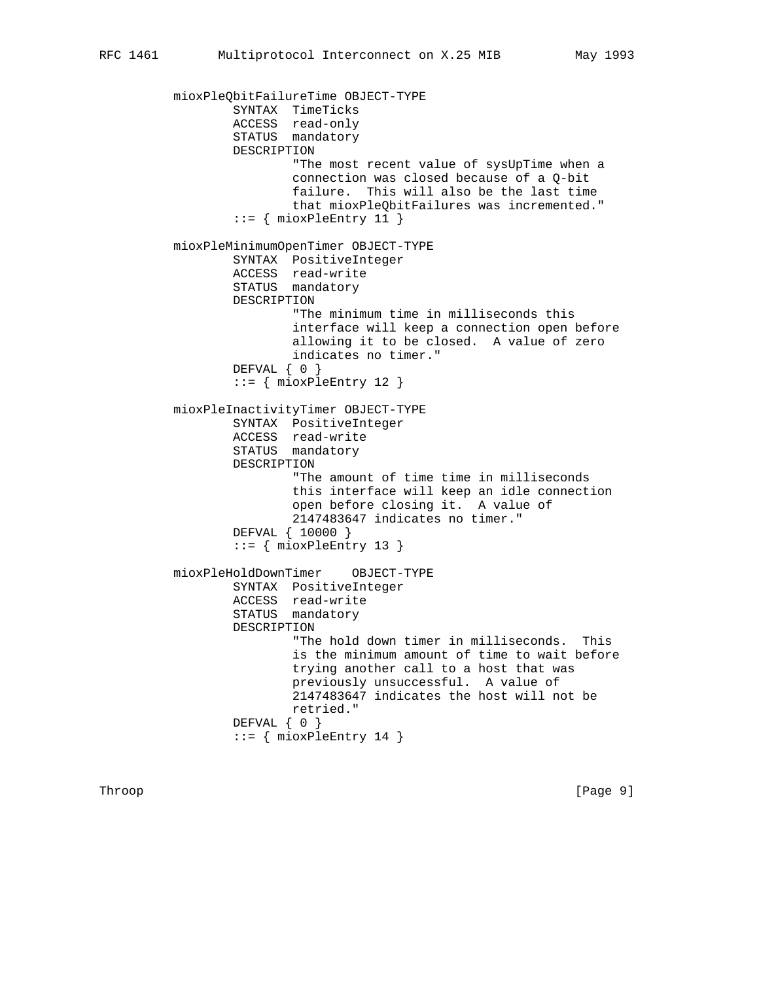mioxPleQbitFailureTime OBJECT-TYPE SYNTAX TimeTicks ACCESS read-only STATUS mandatory DESCRIPTION "The most recent value of sysUpTime when a connection was closed because of a Q-bit failure. This will also be the last time that mioxPleQbitFailures was incremented."  $::=$  { mioxPleEntry 11 } mioxPleMinimumOpenTimer OBJECT-TYPE SYNTAX PositiveInteger ACCESS read-write STATUS mandatory DESCRIPTION "The minimum time in milliseconds this interface will keep a connection open before allowing it to be closed. A value of zero indicates no timer." DEFVAL { 0 }  $::=$  { mioxPleEntry 12 } mioxPleInactivityTimer OBJECT-TYPE SYNTAX PositiveInteger ACCESS read-write STATUS mandatory DESCRIPTION "The amount of time time in milliseconds this interface will keep an idle connection open before closing it. A value of 2147483647 indicates no timer." DEFVAL { 10000 }  $::=$  { mioxPleEntry 13 } mioxPleHoldDownTimer OBJECT-TYPE SYNTAX PositiveInteger ACCESS read-write STATUS mandatory DESCRIPTION "The hold down timer in milliseconds. This is the minimum amount of time to wait before trying another call to a host that was previously unsuccessful. A value of 2147483647 indicates the host will not be retried." DEFVAL { 0 }  $::=$  { mioxPleEntry 14 }

Throop [Page 9] [Page 9] [Page 9] [Page 9] [Page 9] [Page 9] [Page 9] [Page 9] [Page 9] [Page 9] [Page 9] [Page 9] [Page 9] [Page 9] [Page 9] [Page 9] [Page 9] [Page 9] [Page 9] [Page 9] [Page 9] [Page 9] [Page 9] [Page 9]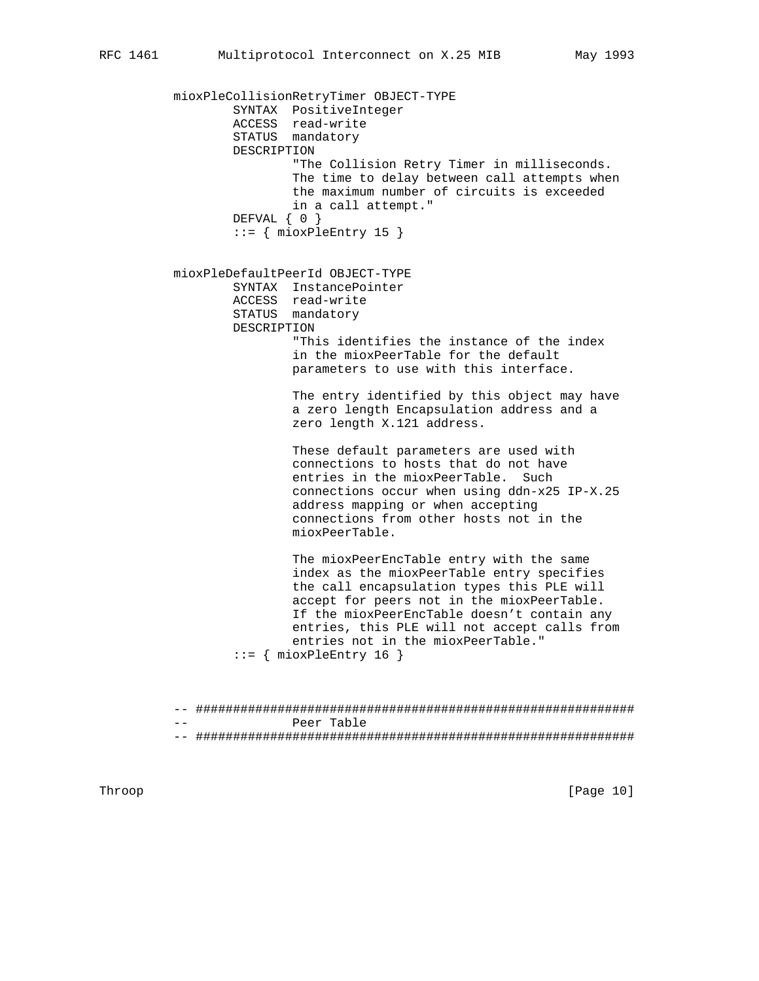mioxPleCollisionRetryTimer OBJECT-TYPE SYNTAX PositiveInteger ACCESS read-write STATUS mandatory DESCRIPTION "The Collision Retry Timer in milliseconds. The time to delay between call attempts when the maximum number of circuits is exceeded in a call attempt." DEFVAL { 0 }  $::=$  { mioxPleEntry 15 } mioxPleDefaultPeerId OBJECT-TYPE SYNTAX InstancePointer ACCESS read-write STATUS mandatory DESCRIPTION "This identifies the instance of the index in the mioxPeerTable for the default parameters to use with this interface. The entry identified by this object may have a zero length Encapsulation address and a zero length X.121 address. These default parameters are used with connections to hosts that do not have entries in the mioxPeerTable. Such connections occur when using ddn-x25 IP-X.25 address mapping or when accepting connections from other hosts not in the mioxPeerTable. The mioxPeerEncTable entry with the same index as the mioxPeerTable entry specifies the call encapsulation types this PLE will accept for peers not in the mioxPeerTable. If the mioxPeerEncTable doesn't contain any entries, this PLE will not accept calls from entries not in the mioxPeerTable."  $::=$  { mioxPleEntry 16 }

> -- ########################################################### Peer Table -- ###########################################################

Throop [Page 10]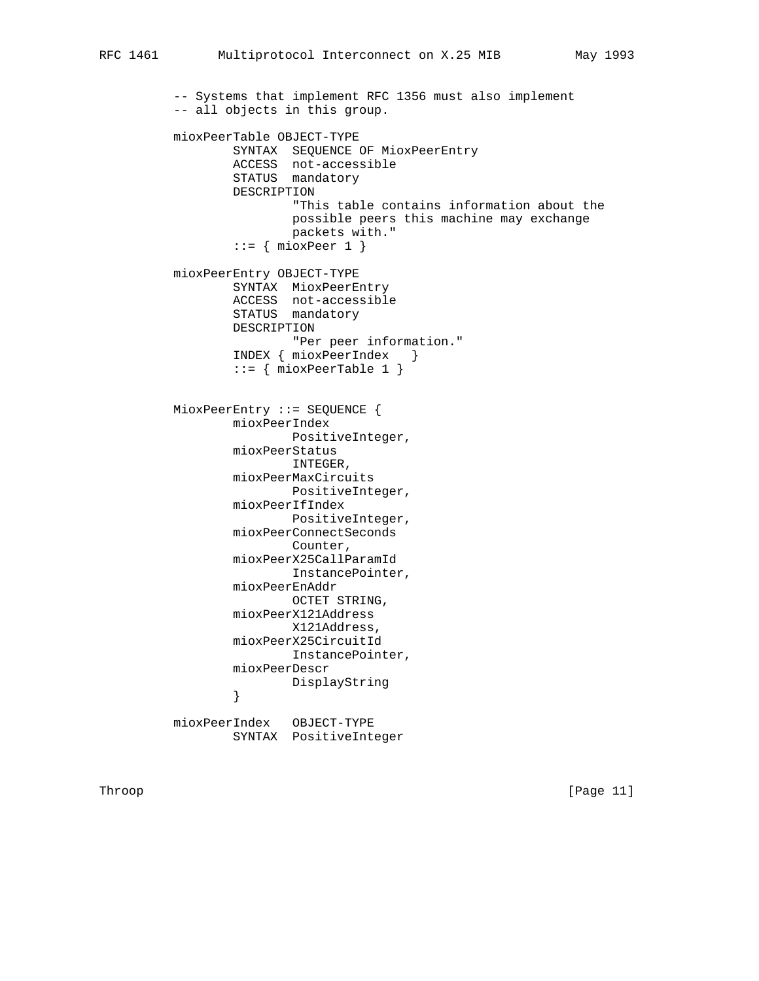-- Systems that implement RFC 1356 must also implement -- all objects in this group. mioxPeerTable OBJECT-TYPE SYNTAX SEQUENCE OF MioxPeerEntry ACCESS not-accessible STATUS mandatory DESCRIPTION "This table contains information about the possible peers this machine may exchange packets with."  $::=$  { mioxPeer 1 } mioxPeerEntry OBJECT-TYPE SYNTAX MioxPeerEntry ACCESS not-accessible STATUS mandatory DESCRIPTION "Per peer information." INDEX { mioxPeerIndex }  $::=$  { mioxPeerTable 1 } MioxPeerEntry ::= SEQUENCE { mioxPeerIndex PositiveInteger, mioxPeerStatus INTEGER, mioxPeerMaxCircuits PositiveInteger, mioxPeerIfIndex PositiveInteger, mioxPeerConnectSeconds Counter, mioxPeerX25CallParamId InstancePointer, mioxPeerEnAddr OCTET STRING, mioxPeerX121Address X121Address, mioxPeerX25CircuitId InstancePointer, mioxPeerDescr DisplayString<br>} }

 mioxPeerIndex OBJECT-TYPE SYNTAX PositiveInteger

Throop [Page 11]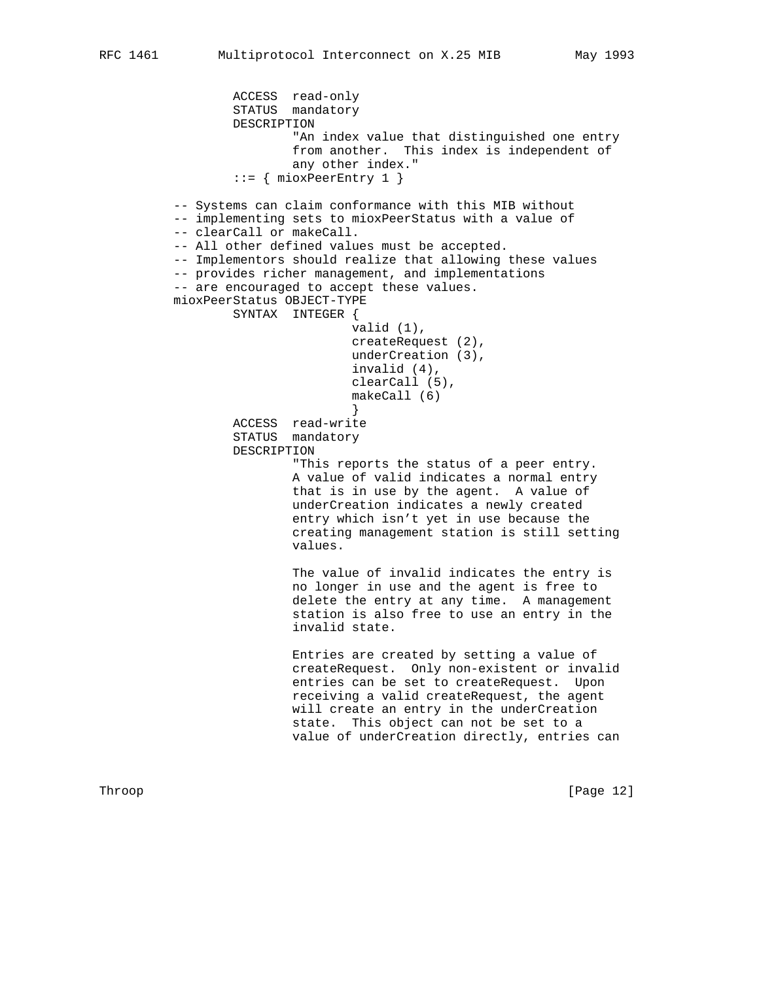```
 ACCESS read-only
                 STATUS mandatory
                 DESCRIPTION
                          "An index value that distinguished one entry
                          from another. This index is independent of
                          any other index."
                  ::= { mioxPeerEntry 1 }
         -- Systems can claim conformance with this MIB without
         -- implementing sets to mioxPeerStatus with a value of
         -- clearCall or makeCall.
         -- All other defined values must be accepted.
         -- Implementors should realize that allowing these values
         -- provides richer management, and implementations
          -- are encouraged to accept these values.
         mioxPeerStatus OBJECT-TYPE
                 SYNTAX INTEGER {
                                  valid (1),
                                 createRequest (2),
                                 underCreation (3),
                                  invalid (4),
                                  clearCall (5),
                                  makeCall (6)
}
                 ACCESS read-write
                  STATUS mandatory
                 DESCRIPTION
                          "This reports the status of a peer entry.
                          A value of valid indicates a normal entry
                          that is in use by the agent. A value of
                          underCreation indicates a newly created
                          entry which isn't yet in use because the
                          creating management station is still setting
                          values.
                          The value of invalid indicates the entry is
                          no longer in use and the agent is free to
                          delete the entry at any time. A management
                          station is also free to use an entry in the
                          invalid state.
                          Entries are created by setting a value of
                          createRequest. Only non-existent or invalid
                          entries can be set to createRequest. Upon
                          receiving a valid createRequest, the agent
                          will create an entry in the underCreation
                         state. This object can not be set to a
                          value of underCreation directly, entries can
```
Throop [Page 12]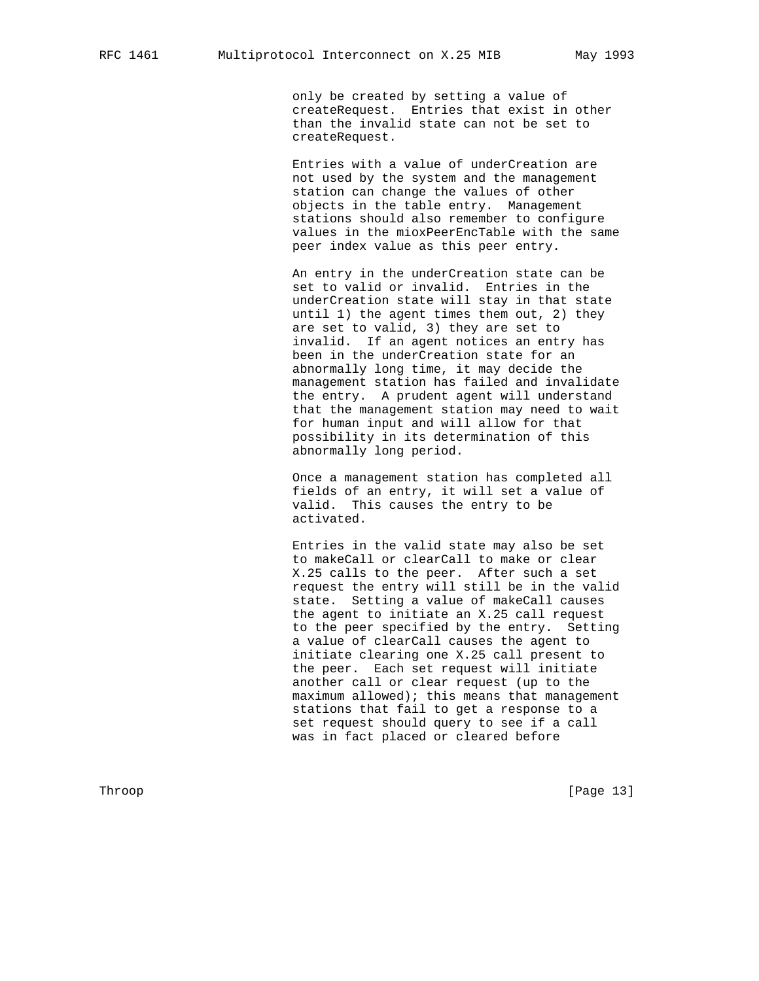only be created by setting a value of createRequest. Entries that exist in other than the invalid state can not be set to createRequest.

 Entries with a value of underCreation are not used by the system and the management station can change the values of other objects in the table entry. Management stations should also remember to configure values in the mioxPeerEncTable with the same peer index value as this peer entry.

 An entry in the underCreation state can be set to valid or invalid. Entries in the underCreation state will stay in that state until 1) the agent times them out, 2) they are set to valid, 3) they are set to invalid. If an agent notices an entry has been in the underCreation state for an abnormally long time, it may decide the management station has failed and invalidate the entry. A prudent agent will understand that the management station may need to wait for human input and will allow for that possibility in its determination of this abnormally long period.

 Once a management station has completed all fields of an entry, it will set a value of valid. This causes the entry to be activated.

 Entries in the valid state may also be set to makeCall or clearCall to make or clear X.25 calls to the peer. After such a set request the entry will still be in the valid state. Setting a value of makeCall causes the agent to initiate an X.25 call request to the peer specified by the entry. Setting a value of clearCall causes the agent to initiate clearing one X.25 call present to the peer. Each set request will initiate another call or clear request (up to the maximum allowed); this means that management stations that fail to get a response to a set request should query to see if a call was in fact placed or cleared before

Throop [Page 13]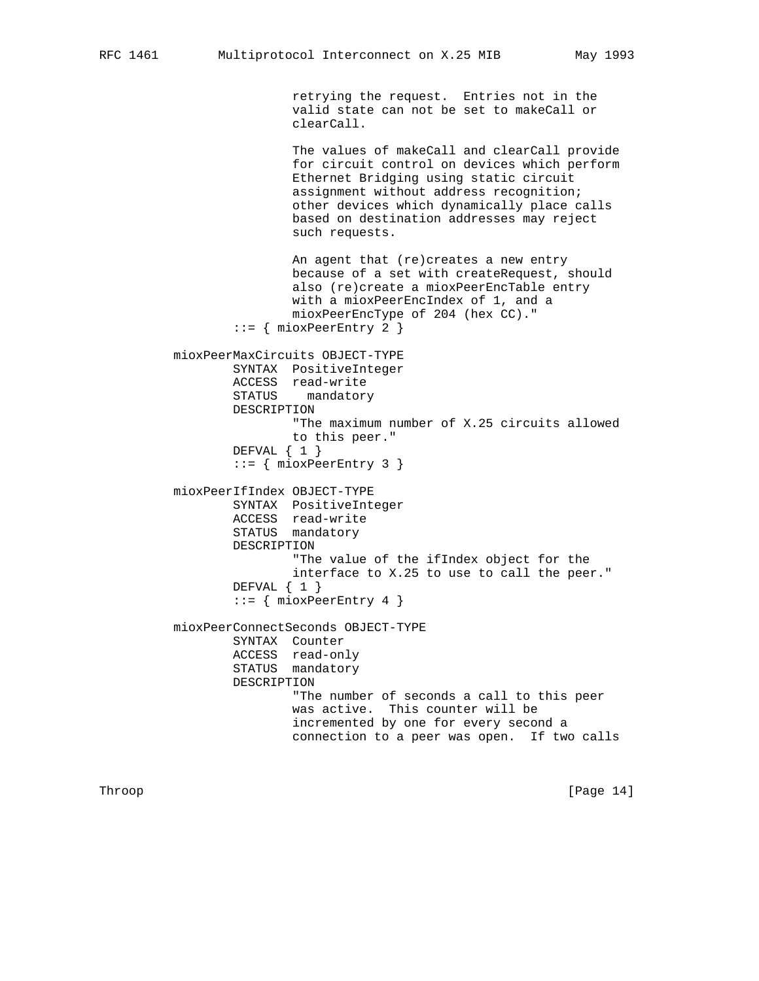retrying the request. Entries not in the valid state can not be set to makeCall or clearCall.

 The values of makeCall and clearCall provide for circuit control on devices which perform Ethernet Bridging using static circuit assignment without address recognition; other devices which dynamically place calls based on destination addresses may reject such requests.

 An agent that (re)creates a new entry because of a set with createRequest, should also (re)create a mioxPeerEncTable entry with a mioxPeerEncIndex of 1, and a mioxPeerEncType of 204 (hex CC)." ::= { mioxPeerEntry 2 } mioxPeerMaxCircuits OBJECT-TYPE SYNTAX PositiveInteger ACCESS read-write STATUS mandatory DESCRIPTION "The maximum number of X.25 circuits allowed to this peer." DEFVAL { 1 } ::= { mioxPeerEntry 3 } mioxPeerIfIndex OBJECT-TYPE SYNTAX PositiveInteger ACCESS read-write STATUS mandatory DESCRIPTION "The value of the ifIndex object for the interface to X.25 to use to call the peer." DEFVAL { 1 }  $::=$  { mioxPeerEntry 4 } mioxPeerConnectSeconds OBJECT-TYPE SYNTAX Counter ACCESS read-only STATUS mandatory DESCRIPTION "The number of seconds a call to this peer was active. This counter will be incremented by one for every second a connection to a peer was open. If two calls

Throop [Page 14]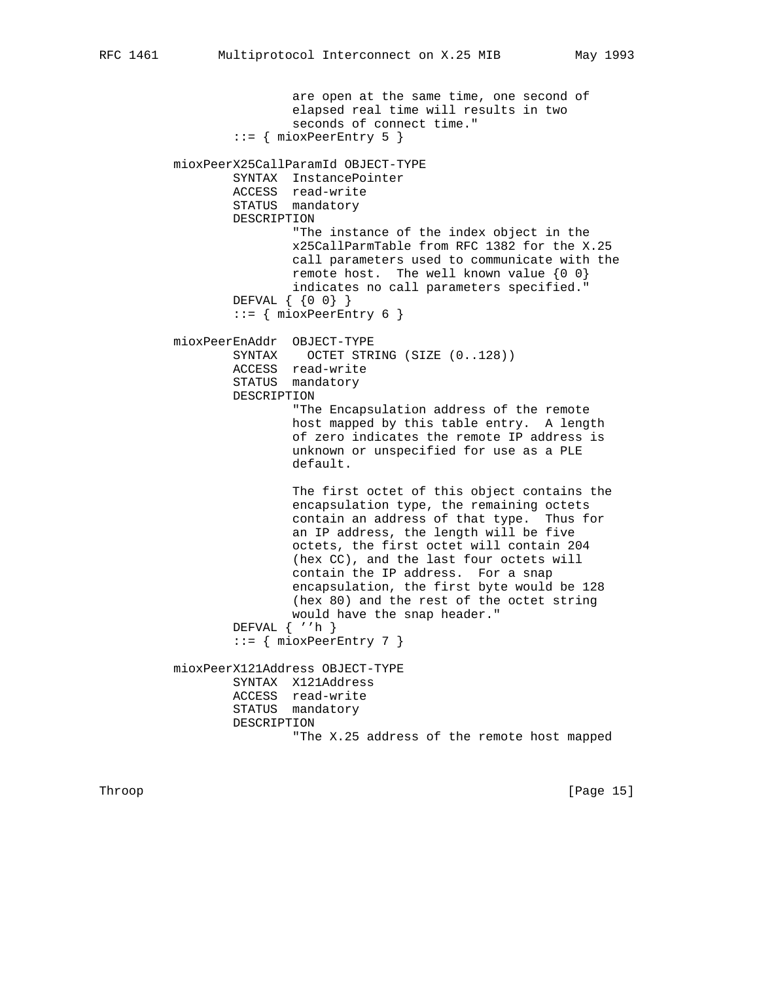```
 are open at the same time, one second of
                elapsed real time will results in two
                seconds of connect time."
        ::= { mioxPeerEntry 5 }
mioxPeerX25CallParamId OBJECT-TYPE
        SYNTAX InstancePointer
        ACCESS read-write
        STATUS mandatory
        DESCRIPTION
                "The instance of the index object in the
                x25CallParmTable from RFC 1382 for the X.25
                call parameters used to communicate with the
               remote host. The well known value \{0\ 0\} indicates no call parameters specified."
        DEFVAL { {0 0} }
        ::= { mioxPeerEntry 6 }
mioxPeerEnAddr OBJECT-TYPE
        SYNTAX OCTET STRING (SIZE (0..128))
        ACCESS read-write
        STATUS mandatory
        DESCRIPTION
                "The Encapsulation address of the remote
                host mapped by this table entry. A length
                of zero indicates the remote IP address is
                unknown or unspecified for use as a PLE
                default.
                The first octet of this object contains the
                encapsulation type, the remaining octets
                contain an address of that type. Thus for
                an IP address, the length will be five
                octets, the first octet will contain 204
                (hex CC), and the last four octets will
                contain the IP address. For a snap
                encapsulation, the first byte would be 128
                (hex 80) and the rest of the octet string
                would have the snap header."
        DEFVAL { ''h }
       ::= { mioxPeerEntry 7 }
mioxPeerX121Address OBJECT-TYPE
        SYNTAX X121Address
        ACCESS read-write
        STATUS mandatory
        DESCRIPTION
                "The X.25 address of the remote host mapped
```
Throop [Page 15]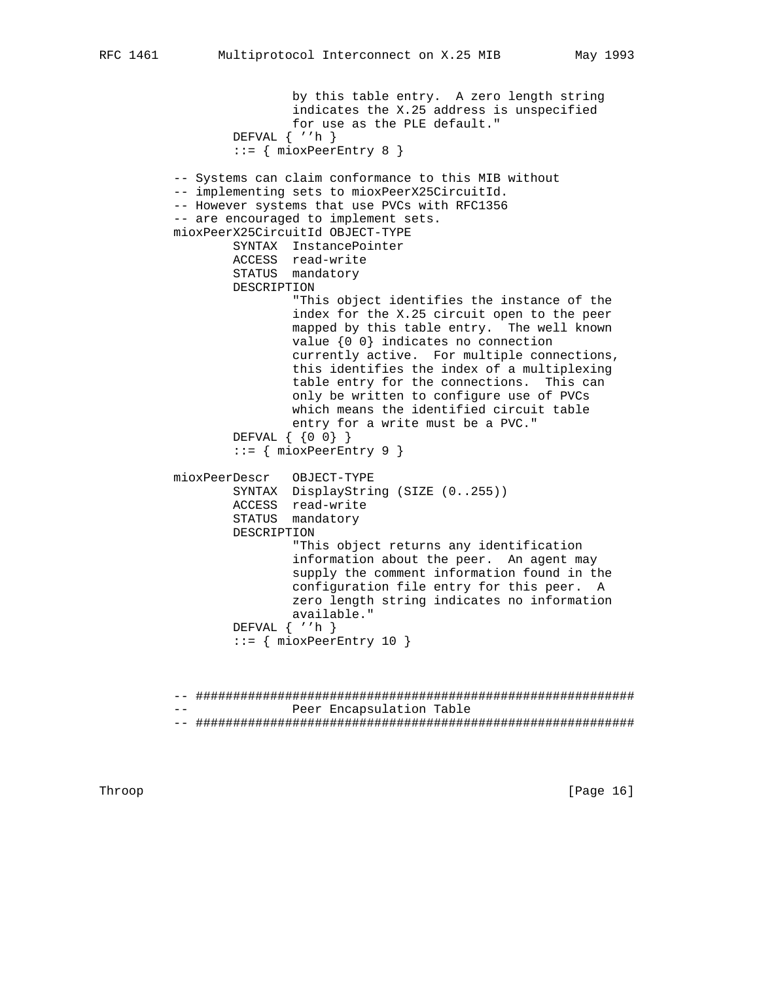```
 by this table entry. A zero length string
                indicates the X.25 address is unspecified
                for use as the PLE default."
        DEFVAL { ''h }
        ::= { mioxPeerEntry 8 }
-- Systems can claim conformance to this MIB without
-- implementing sets to mioxPeerX25CircuitId.
-- However systems that use PVCs with RFC1356
-- are encouraged to implement sets.
mioxPeerX25CircuitId OBJECT-TYPE
        SYNTAX InstancePointer
        ACCESS read-write
        STATUS mandatory
        DESCRIPTION
                "This object identifies the instance of the
                index for the X.25 circuit open to the peer
                mapped by this table entry. The well known
                value {0 0} indicates no connection
                currently active. For multiple connections,
                this identifies the index of a multiplexing
                table entry for the connections. This can
                only be written to configure use of PVCs
                which means the identified circuit table
```

```
 DEFVAL { {0 0} }
::= { mioxPeerEntry 9 }
```

```
 mioxPeerDescr OBJECT-TYPE
SYNTAX DisplayString (SIZE (0..255))
               ACCESS read-write
               STATUS mandatory
               DESCRIPTION
                       "This object returns any identification
                      information about the peer. An agent may
```
 supply the comment information found in the configuration file entry for this peer. A zero length string indicates no information available."

entry for a write must be a PVC."

```
 DEFVAL { ''h }
```

```
::= { mioxPeerEntry 10 }
```
 -- ########################################################### -- Peer Encapsulation Table -- ###########################################################

Throop [Page 16]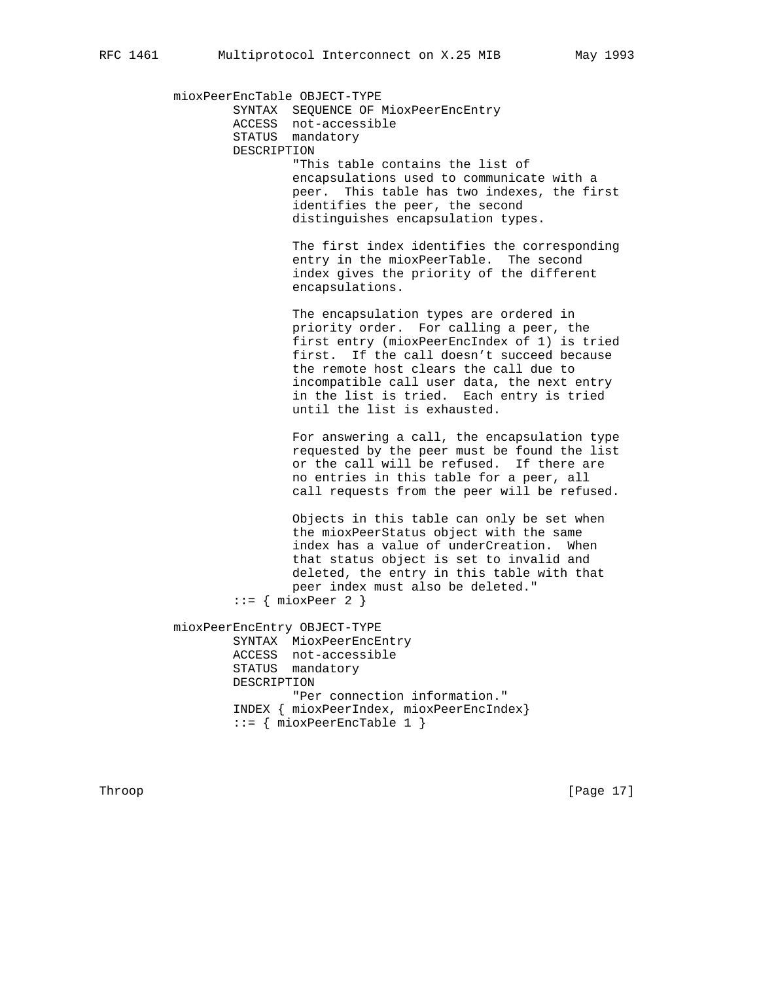mioxPeerEncTable OBJECT-TYPE SYNTAX SEQUENCE OF MioxPeerEncEntry ACCESS not-accessible STATUS mandatory DESCRIPTION "This table contains the list of encapsulations used to communicate with a peer. This table has two indexes, the first identifies the peer, the second distinguishes encapsulation types. The first index identifies the corresponding entry in the mioxPeerTable. The second index gives the priority of the different encapsulations. The encapsulation types are ordered in priority order. For calling a peer, the first entry (mioxPeerEncIndex of 1) is tried first. If the call doesn't succeed because the remote host clears the call due to incompatible call user data, the next entry in the list is tried. Each entry is tried until the list is exhausted. For answering a call, the encapsulation type requested by the peer must be found the list or the call will be refused. If there are no entries in this table for a peer, all call requests from the peer will be refused. Objects in this table can only be set when the mioxPeerStatus object with the same index has a value of underCreation. When that status object is set to invalid and deleted, the entry in this table with that peer index must also be deleted."  $::=$  { mioxPeer 2 } mioxPeerEncEntry OBJECT-TYPE SYNTAX MioxPeerEncEntry ACCESS not-accessible STATUS mandatory DESCRIPTION "Per connection information." INDEX { mioxPeerIndex, mioxPeerEncIndex}  $::=$  { mioxPeerEncTable 1 }

Throop [Page 17]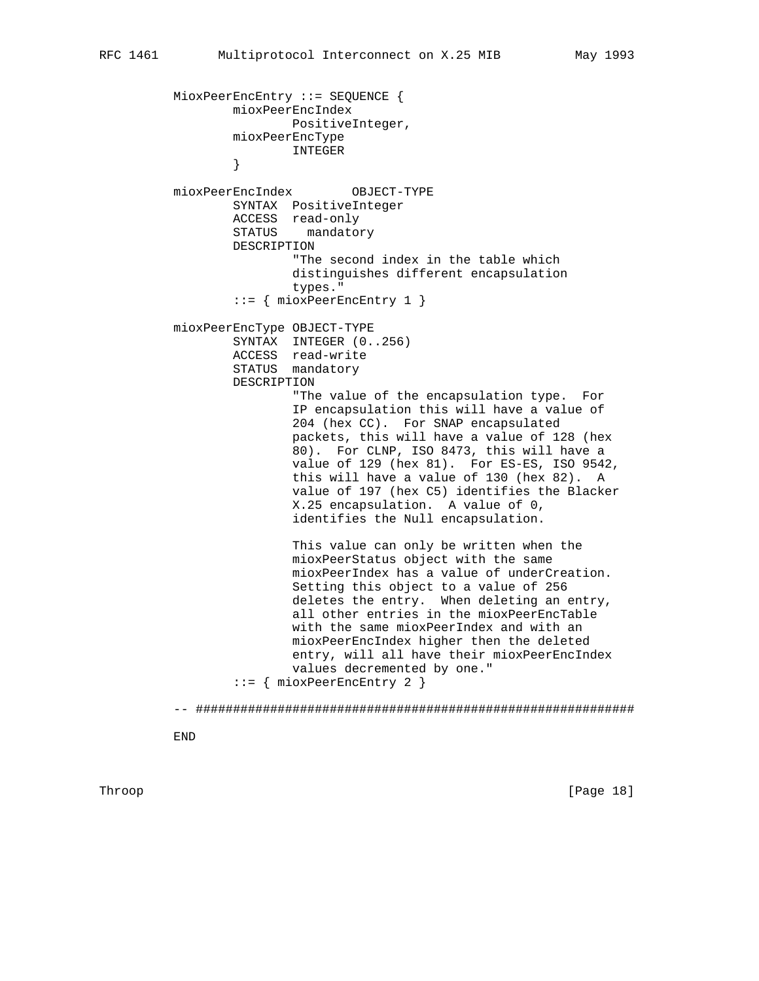```
 MioxPeerEncEntry ::= SEQUENCE {
                 mioxPeerEncIndex
                         PositiveInteger,
                 mioxPeerEncType
                 INTEGER
}
         mioxPeerEncIndex OBJECT-TYPE
                 SYNTAX PositiveInteger
                 ACCESS read-only
                 STATUS mandatory
                 DESCRIPTION
                         "The second index in the table which
                         distinguishes different encapsulation
                         types."
                  ::= { mioxPeerEncEntry 1 }
         mioxPeerEncType OBJECT-TYPE
                 SYNTAX INTEGER (0..256)
                 ACCESS read-write
                 STATUS mandatory
                 DESCRIPTION
                          "The value of the encapsulation type. For
                         IP encapsulation this will have a value of
                         204 (hex CC). For SNAP encapsulated
                         packets, this will have a value of 128 (hex
                         80). For CLNP, ISO 8473, this will have a
                         value of 129 (hex 81). For ES-ES, ISO 9542,
                         this will have a value of 130 (hex 82). A
                         value of 197 (hex C5) identifies the Blacker
                         X.25 encapsulation. A value of 0,
                         identifies the Null encapsulation.
                         This value can only be written when the
                         mioxPeerStatus object with the same
                         mioxPeerIndex has a value of underCreation.
                         Setting this object to a value of 256
                         deletes the entry. When deleting an entry,
                         all other entries in the mioxPeerEncTable
                         with the same mioxPeerIndex and with an
                         mioxPeerEncIndex higher then the deleted
                         entry, will all have their mioxPeerEncIndex
                         values decremented by one."
                  ::= { mioxPeerEncEntry 2 }
```
-- ###########################################################

END

Throop [Page 18]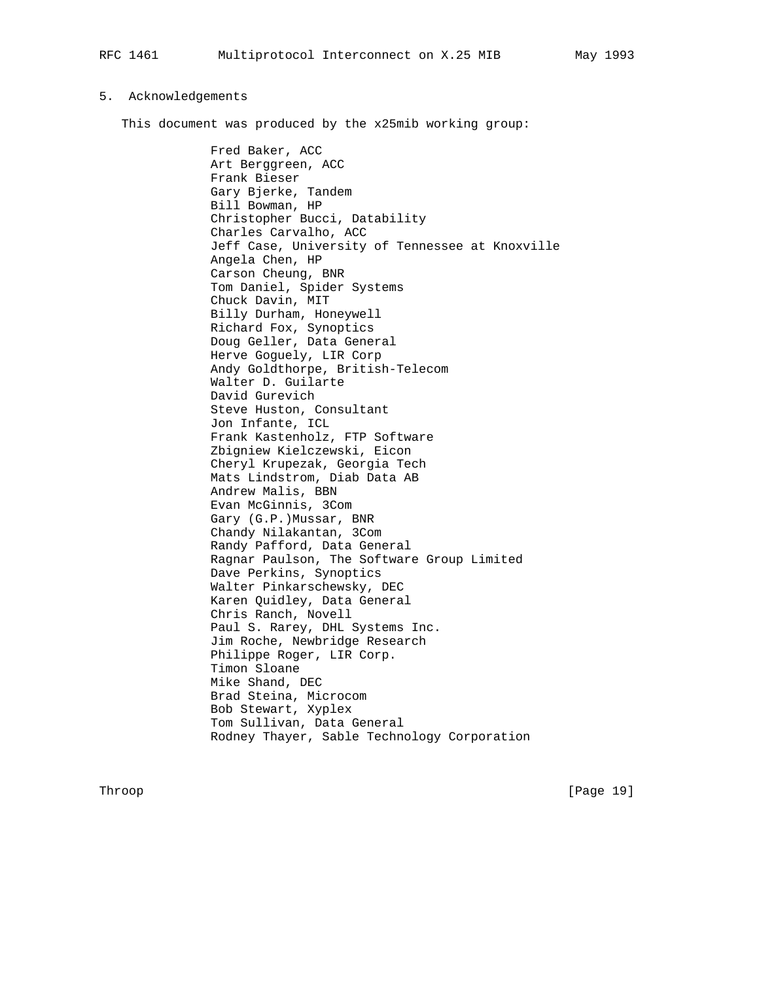### 5. Acknowledgements

This document was produced by the x25mib working group:

 Fred Baker, ACC Art Berggreen, ACC Frank Bieser Gary Bjerke, Tandem Bill Bowman, HP Christopher Bucci, Datability Charles Carvalho, ACC Jeff Case, University of Tennessee at Knoxville Angela Chen, HP Carson Cheung, BNR Tom Daniel, Spider Systems Chuck Davin, MIT Billy Durham, Honeywell Richard Fox, Synoptics Doug Geller, Data General Herve Goguely, LIR Corp Andy Goldthorpe, British-Telecom Walter D. Guilarte David Gurevich Steve Huston, Consultant Jon Infante, ICL Frank Kastenholz, FTP Software Zbigniew Kielczewski, Eicon Cheryl Krupezak, Georgia Tech Mats Lindstrom, Diab Data AB Andrew Malis, BBN Evan McGinnis, 3Com Gary (G.P.)Mussar, BNR Chandy Nilakantan, 3Com Randy Pafford, Data General Ragnar Paulson, The Software Group Limited Dave Perkins, Synoptics Walter Pinkarschewsky, DEC Karen Quidley, Data General Chris Ranch, Novell Paul S. Rarey, DHL Systems Inc. Jim Roche, Newbridge Research Philippe Roger, LIR Corp. Timon Sloane Mike Shand, DEC Brad Steina, Microcom Bob Stewart, Xyplex Tom Sullivan, Data General Rodney Thayer, Sable Technology Corporation

Throop [Page 19]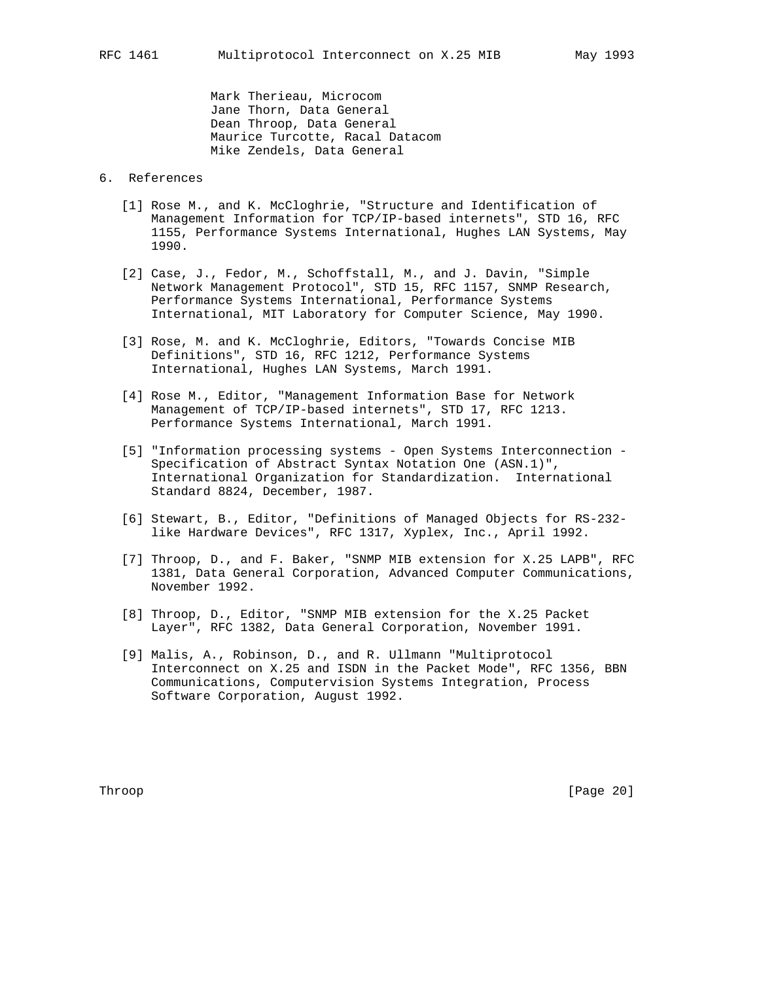Mark Therieau, Microcom Jane Thorn, Data General Dean Throop, Data General Maurice Turcotte, Racal Datacom Mike Zendels, Data General

# 6. References

- [1] Rose M., and K. McCloghrie, "Structure and Identification of Management Information for TCP/IP-based internets", STD 16, RFC 1155, Performance Systems International, Hughes LAN Systems, May 1990.
- [2] Case, J., Fedor, M., Schoffstall, M., and J. Davin, "Simple Network Management Protocol", STD 15, RFC 1157, SNMP Research, Performance Systems International, Performance Systems International, MIT Laboratory for Computer Science, May 1990.
- [3] Rose, M. and K. McCloghrie, Editors, "Towards Concise MIB Definitions", STD 16, RFC 1212, Performance Systems International, Hughes LAN Systems, March 1991.
- [4] Rose M., Editor, "Management Information Base for Network Management of TCP/IP-based internets", STD 17, RFC 1213. Performance Systems International, March 1991.
- [5] "Information processing systems Open Systems Interconnection Specification of Abstract Syntax Notation One (ASN.1)", International Organization for Standardization. International Standard 8824, December, 1987.
- [6] Stewart, B., Editor, "Definitions of Managed Objects for RS-232 like Hardware Devices", RFC 1317, Xyplex, Inc., April 1992.
- [7] Throop, D., and F. Baker, "SNMP MIB extension for X.25 LAPB", RFC 1381, Data General Corporation, Advanced Computer Communications, November 1992.
- [8] Throop, D., Editor, "SNMP MIB extension for the X.25 Packet Layer", RFC 1382, Data General Corporation, November 1991.
- [9] Malis, A., Robinson, D., and R. Ullmann "Multiprotocol Interconnect on X.25 and ISDN in the Packet Mode", RFC 1356, BBN Communications, Computervision Systems Integration, Process Software Corporation, August 1992.

Throop [Page 20]